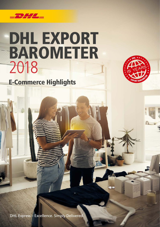

# DHL EXPORT BAROMETER 2018

E-Commerce Highlights



DHL Express – Excellence. Simply Delivered.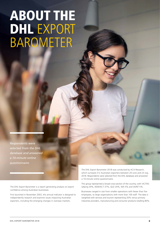# ABOUT THE DHL EXPORT BAROMETER

*Respondents were selected from the DHL database and answered a 10-minute online questionnaire.*

The DHL Export Barometer is a report generating analysis on export confidence among Australian businesses.

First launched in November 2003, this annual indicator is designed to independently research and examine issues impacting Australian exporters, including the emerging changes in overseas markets.

The DHL Export Barometer 2018 was conducted by ACA Research, which surveyed 212 Australian exporters between 29 June and 23 July, 2018. Respondents were selected from the DHL database and answered a 10-minute online questionnaire.

This group represented a broad cross-section of the country, with VIC/TAS tallying 29%, NSW/ACT 37%, QLD 24%, WA 5% and SA/NT 5%.

Businesses ranged in size from smaller operations with fewer than five employees, to large organisations with more than 100 staff. The data is weighted with services and tourism representing 20% versus primary industries providers, manufacturing and consumer products totalling 80%.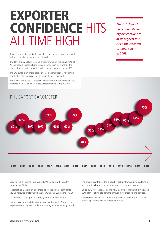## EXPORTER CONFIDENCE HITS ALL TIME HIGH

*The DHL Export Barometer shows export confidence at its highest level since the research commenced in 2003.*

There has never been a better time to be an exporter in Australia with industry confidence rising to record levels.

The 15th annual DHL Express Barometer shows an impressive 75% of Aussie traders expect sales to increase in the next 12 months – the highest level reported since the independent survey began in 2003.

The 8% surge is an undeniable sign international trade is flourishing and that Australian businesses are ready to meet demand.

The overall result also far exceeds the previous industry peaks of 69%, recorded in 2010, and before the Global Financial Crisis in 2007.



Leading morale is small businesses (81%), along with industry newcomers (80%).

Geographically, Victorian operators report the highest confidence (88%), followed by New South Wales (75%) and Queensland (70%).

Meanwhile, on the ground strong growth is already evident.

Orders have increased during the past year for 61% of Australian exporters – the highest in a decade, setting another industry record. The growth is attributed to a boost in activity from existing customers, and exporters buoyed by the results are preparing to expand.

Up to 43% foreshadow entering new markets to increase business, and 50% plan to stimulate demand through new products and services.

Additionally, close to half of the companies surveyed plan to broaden current operations into new trade territories.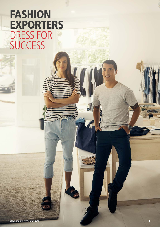### FASHION EXPORTERS DRESS FOR **SUCCESS**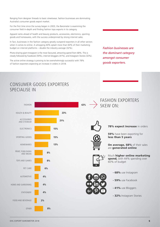Ranging from designer threads to basic streetwear, fashion businesses are dominating Australia's consumer goods export market.

For the first time since the survey began in 2003, the Barometer is examining the consumer field in-depth and finding fashion tops exports in its category.

Apparel ranks ahead of health and beauty products, accessories, electronics, sporting goods and homewares, with the success underpinned by strong internet sales.

In fact, businesses in the fashion category greatly outspend exporters in all other sectors when it comes to online. A whopping 44% splash more than 60% of their marketing budget on internet platforms – double the industry average (32%).

Photo-sharing giant Instagram is the most favoured, attracting spend from 68%. This is closely followed by Facebook (59%), internet bloggers (41%), and Instagram Stories (32%).

The active online strategy is proving to be overwhelmingly successful with 78% of fashion exporters expecting an increase in orders in 2018.

*Fashion businesses are the dominant category amongst consumer goods exporters.*

### CONSUMER GOODS EXPORTERS SPECIALISE IN

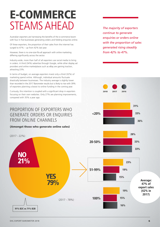## E-COMMERCE STEAMS AHEAD *The majority of exporters*

Australian exporters are harnessing the benefits of the e-commerce boom with four in five businesses generating orders and fielding enquiries online.

Of these exporters, the proportion of their sales from the internet has surged to 47% – up from 42% last year.

However, there is no one-size-fits-all approach with online marketing differing significantly across the sector.

Industry-wide, more than half of all exporters use social media to bring in orders. A third (34%) advertise through Google, while other display ad providers and online marketplaces such as eBay are gaining traction, attracting 23%.

In terms of budget, on average exporters invest only a third (32%) of marketing spend online. Although, individual amounts fluctuate drastically between businesses. The industry average is slightly lower than recorded in the 2017 Barometer results but is likely to rise with 39% of exporters planning a boost to online funding in the coming year.

Curiously, this intention is coupled with a significant drop in exporters focusing on their own websites. Only 27% are planning improvements, compared with 35% a year ago.

### PROPORTION OF EXPORTERS WHO GENERATE ORDERS OR ENQUIRIES FROM ONLINE CHANNELS

#### (Amongst those who generate online sales)

(2017 - 22%)  $(2017 - 78%)$ 79% 21% YES NO 91% B2C vs 71% B2B 20-50% 51-99% 100%

*continue to generate enquiries or orders online with the proportion of sales generated rising steadily from 42% to 47%.*





23%

19%

19%

15%

15%

16%

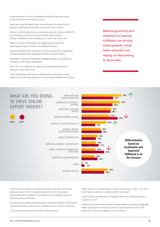Increasing sales is not the only benefit Australia's exporters enjoy as the e-commerce era hits full swing.

Many are using the opportunity to revolutionise the way they do business, particularly companies moving into new markets.

Almost a third of exporters are improving customer service, while 37% are improving how they source and deliver their products. Product localisation is also emerging as a key focus of the year.

Nearly a quarter of businesses are adapting goods and their advertising content to better suit individual markets.

Exporters believe these initiatives will drive up sales and, in particular, are being applied when targeting the North American market.

Meanwhile, traditional marketing strategies appear to be falling out of favour in the online marketplace.

Only 14% of companies are opting for competitive pricing and discounts, down from 22%.

These trends show the internet has become a necessity for many exporters, but the technology has not yet fully permeated the industry. *Marketing activity and initiatives to improve fulfilment are driving online growth, while fewer exporters are relying on discounting to drive sales.*



One third of the sector is resisting and not using any channels to generate sales online. Unsurprisingly, these tend to be larger, well-established companies, manufacturers and traders primarily targeting other businesses.

Last year also brought another exciting e-commerce milestone, with online retail giant Amazon launching in Australia, just in time for Christmas.

So far, the arrival has been met with mixed reviews.

About 16% of companies say it is good for business, while 11% claim it will lead to a decline in orders within three years.

Similar results are reported for Alibaba, which also officially set up in Australia in 2017.

However, the arrival of the Chinese-owned retailer has caused considerably higher apprehension among consumer goods exporters with 27% believing it will have negative knock-on effects.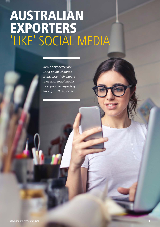# AUSTRALIAN EXPORTERS 'LIKE' SOCIAL MEDIA

*70% of exporters are using online channels to increase their export sales with social media most popular, especially amongst B2C exporters.*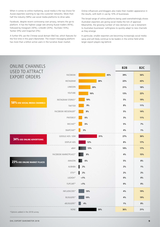When it comes to online marketing, social media is the top choice for Aussie exporters wanting to tap into customer networks. More than half the industry (58%) use social media platforms to drive sales.

Facebook, despite recent controversy over privacy, remains the go-to platform. It has the highest usage rate among Aussie traders (45%), followed by Instagram (30%), LinkedIn (20%), YouTube (16%), Twitter (9%) and Snapchat (3%).

A further 6% use the Chinese social domain WeChat, which features for the first time in this year's Barometer. The instant messaging platform has more than a billion active users in the lucrative Asian market.

Online influencers and bloggers also make their maiden appearance in the results, with both in use by 10% of businesses.

The broad range of online platforms being used overwhelmingly shows Australian exporters are giving social media the tick of approval. Meanwhile, the growing number of new domains in use is testament to Australian businesses' willingness to quickly adapt to new channels as they emerge.

In particular, smaller exporters are becoming increasingly social media savvy and will likely continue to be leaders in the online field while larger export players lag behind.

| <b>ONLINE CHANNELS</b><br><b>USED TO ATTRACT</b><br><b>EXPORT ORDERS</b> |                              |         | <b>B2B</b> | <b>B2C</b> |
|--------------------------------------------------------------------------|------------------------------|---------|------------|------------|
|                                                                          | <b>FACEBOOK</b>              | 45%     | 39%        | 56%        |
|                                                                          | INSTAGRAM                    | 30%     | 22%        | 43%        |
| 58% USE SOCIAL MEDIA CHANNELS                                            | LINKEDIN                     | 20%     | 21%        | 18%        |
|                                                                          | YOUTUBE                      | 16%     | 13%        | 22%        |
|                                                                          | <b>INSTAGRAM STORIES*</b>    | 10%     | 5%         | 19%        |
|                                                                          | TWITTER                      | 9%      | 8%         | 11%        |
|                                                                          | <b>FACEBOOK MESSENGER*</b>   | 8%      | 5%         | 14%        |
|                                                                          | PINTEREST                    | 6%      | 3%         | <b>11%</b> |
|                                                                          | WECHAT*                      | 6%      | 5%         | 7%         |
|                                                                          | SNAPCHAT*                    | $3\%$   | 4%         | $1\%$      |
| <b>34% USE ONLINE ADVERTISING</b>                                        | GOOGLE ADS / SEM             | 31%     | 27%        | 36%        |
|                                                                          | DISPLAY ADS                  | 12%     | 8%         | 17%        |
| 23% USE ONLINE MARKET PLACES                                             | eBAY                         | 13%     | 10%        | 17%        |
|                                                                          | <b>FACEBOOK MARKETPLACE*</b> | 8%      | 4%         | 15%        |
|                                                                          | AMAZON                       | 6%      | 5%         | 8%         |
|                                                                          | ALIBABA                      | $2\%$   | 2%         | 1%         |
|                                                                          | ETSY*                        | 2%      | 2%         | 2%         |
|                                                                          | LAZADA*                      | $< 1\%$ | 0%         | 0%         |
|                                                                          | FLIPCART*                    | $< 1\%$ | $0\%$      | 0%         |
|                                                                          | INFLUENCERS*                 | 10%     | 4%         | 19%        |
|                                                                          | BLOGGERS*                    | 10%     | 4%         | 19%        |
|                                                                          | vBLOGGERS*                   | 4%      | $1\%$      | 8%         |
| *Options added in the 2018 survey.                                       | <b>NONE</b>                  | 30%     | 36%        | 21%        |